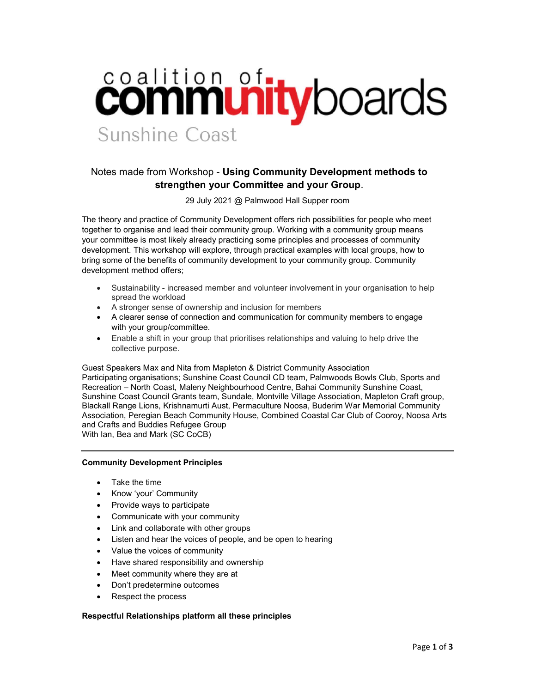## coalition of tyboards Sunshine Coast

## Notes made from Workshop - Using Community Development methods to strengthen your Committee and your Group.

29 July 2021 @ Palmwood Hall Supper room

The theory and practice of Community Development offers rich possibilities for people who meet together to organise and lead their community group. Working with a community group means your committee is most likely already practicing some principles and processes of community development. This workshop will explore, through practical examples with local groups, how to bring some of the benefits of community development to your community group. Community development method offers;

- Sustainability increased member and volunteer involvement in your organisation to help spread the workload
- A stronger sense of ownership and inclusion for members
- A clearer sense of connection and communication for community members to engage with your group/committee.
- Enable a shift in your group that prioritises relationships and valuing to help drive the collective purpose.

Guest Speakers Max and Nita from Mapleton & District Community Association Participating organisations; Sunshine Coast Council CD team, Palmwoods Bowls Club, Sports and Recreation – North Coast, Maleny Neighbourhood Centre, Bahai Community Sunshine Coast, Sunshine Coast Council Grants team, Sundale, Montville Village Association, Mapleton Craft group, Blackall Range Lions, Krishnamurti Aust, Permaculture Noosa, Buderim War Memorial Community Association, Peregian Beach Community House, Combined Coastal Car Club of Cooroy, Noosa Arts and Crafts and Buddies Refugee Group With Ian, Bea and Mark (SC CoCB)

## Community Development Principles

- Take the time
- Know 'your' Community
- Provide ways to participate
- Communicate with your community
- Link and collaborate with other groups
- Listen and hear the voices of people, and be open to hearing
- Value the voices of community
- Have shared responsibility and ownership
- Meet community where they are at
- Don't predetermine outcomes
- Respect the process

## Respectful Relationships platform all these principles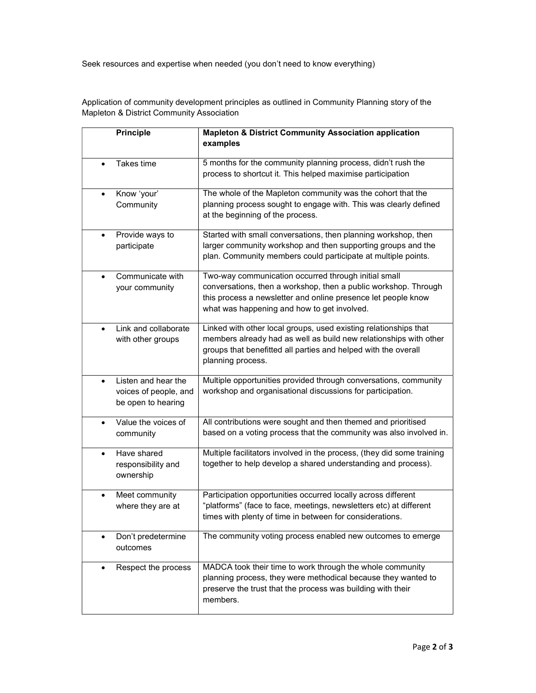Seek resources and expertise when needed (you don't need to know everything)

Application of community development principles as outlined in Community Planning story of the Mapleton & District Community Association

| <b>Principle</b>                                                                | <b>Mapleton &amp; District Community Association application</b><br>examples                                                                                                                                                            |
|---------------------------------------------------------------------------------|-----------------------------------------------------------------------------------------------------------------------------------------------------------------------------------------------------------------------------------------|
| Takes time<br>$\bullet$                                                         | 5 months for the community planning process, didn't rush the<br>process to shortcut it. This helped maximise participation                                                                                                              |
| Know 'your'<br>$\bullet$<br>Community                                           | The whole of the Mapleton community was the cohort that the<br>planning process sought to engage with. This was clearly defined<br>at the beginning of the process.                                                                     |
| Provide ways to<br>$\bullet$<br>participate                                     | Started with small conversations, then planning workshop, then<br>larger community workshop and then supporting groups and the<br>plan. Community members could participate at multiple points.                                         |
| Communicate with<br>$\bullet$<br>your community                                 | Two-way communication occurred through initial small<br>conversations, then a workshop, then a public workshop. Through<br>this process a newsletter and online presence let people know<br>what was happening and how to get involved. |
| Link and collaborate<br>$\bullet$<br>with other groups                          | Linked with other local groups, used existing relationships that<br>members already had as well as build new relationships with other<br>groups that benefitted all parties and helped with the overall<br>planning process.            |
| Listen and hear the<br>$\bullet$<br>voices of people, and<br>be open to hearing | Multiple opportunities provided through conversations, community<br>workshop and organisational discussions for participation.                                                                                                          |
| Value the voices of<br>$\bullet$<br>community                                   | All contributions were sought and then themed and prioritised<br>based on a voting process that the community was also involved in.                                                                                                     |
| Have shared<br>$\bullet$<br>responsibility and<br>ownership                     | Multiple facilitators involved in the process, (they did some training<br>together to help develop a shared understanding and process).                                                                                                 |
| Meet community<br>$\bullet$<br>where they are at                                | Participation opportunities occurred locally across different<br>"platforms" (face to face, meetings, newsletters etc) at different<br>times with plenty of time in between for considerations.                                         |
| Don't predetermine<br>$\bullet$<br>outcomes                                     | The community voting process enabled new outcomes to emerge                                                                                                                                                                             |
| Respect the process<br>$\bullet$                                                | MADCA took their time to work through the whole community<br>planning process, they were methodical because they wanted to<br>preserve the trust that the process was building with their<br>members.                                   |